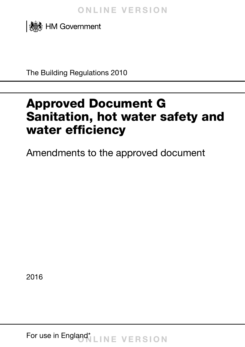

The Building Regulations 2010

# Approved Document G Sanitation, hot water safety and water efficiency

Amendments to the approved document

2016

For use in England\* **LINE VERSION**